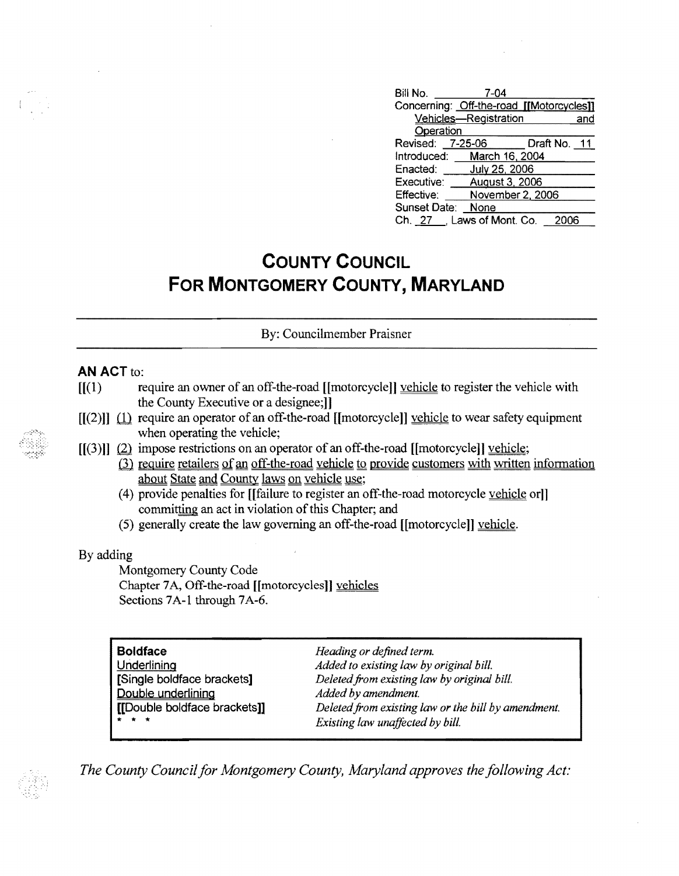| Bill No.         | $7 - 04$                                 |              |
|------------------|------------------------------------------|--------------|
|                  | Concerning: Off-the-road [[Motorcycles]] |              |
|                  | Vehicles-Registration                    | and          |
| Operation        |                                          |              |
| Revised: 7-25-06 |                                          | Draft No. 11 |
|                  | Introduced: March 16, 2004               |              |
| Enacted:         | July 25, 2006                            |              |
| Executive:       | <b>August 3, 2006</b>                    |              |
| Effective:       | November 2, 2006                         |              |
| Sunset Date:     | None                                     |              |
|                  | Ch. 27 , Laws of Mont. Co.               |              |

# **COUNTY COUNCIL FOR MONTGOMERY COUNTY, MARYLAND**

By: Councilmember Praisner

### **AN ACT to:**

- $[$ [(1) require an owner of an off-the-road [[motorcycle]] vehicle to register the vehicle with the County Executive or a designee;]]
- $[[(2)]]$   $(1)$  require an operator of an off-the-road [[motorcycle]] vehicle to wear safety equipment when operating the vehicle;
- $[[(3)]]$   $(2)$  impose restrictions on an operator of an off-the-road [[motorcycle]] vehicle;
	- (3) require retailers of an off-the-road vehicle to provide customers with written information about State and County laws on vehicle use;
	- (4) provide penalties for [[failure to register an off-the-road motorcycle vehicle or]] committing an act in violation of this Chapter; and
	- (5) generally create the law governing an off-the-road [[motorcycle]] vehicle.

#### By adding

Montgomery County Code Chapter 7A, Off-the-road [[motorcycles]] vehicles Sections 7A-1 through 7A-6.

| <b>Boldface</b>              | Heading or defined term.                            |
|------------------------------|-----------------------------------------------------|
| Underlining                  | Added to existing law by original bill.             |
| [Single boldface brackets]   | Deleted from existing law by original bill.         |
| Double underlining           | Added by amendment.                                 |
| [[Double boldface brackets]] | Deleted from existing law or the bill by amendment. |
| * * *                        | Existing law unaffected by bill.                    |

*The County Council for Montgomery County, Maryland approves the following Act:*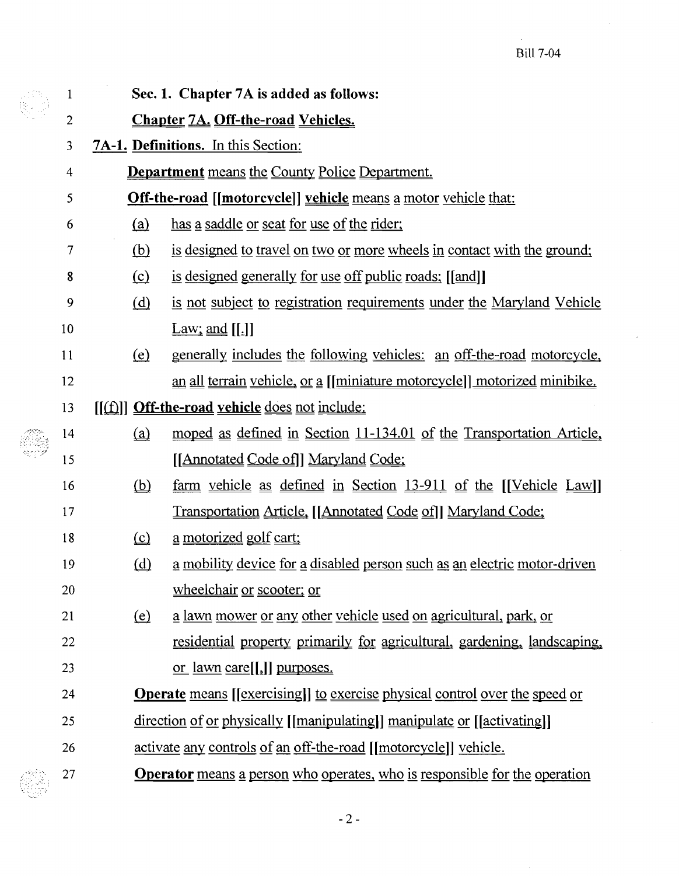$\bar{z}$ 

|  | $\mathbf{1}$   | Sec. 1. Chapter 7A is added as follows:                                                          |                                                                                            |  |  |
|--|----------------|--------------------------------------------------------------------------------------------------|--------------------------------------------------------------------------------------------|--|--|
|  | $\overline{c}$ | <b>Chapter 7A. Off-the-road Vehicles.</b>                                                        |                                                                                            |  |  |
|  | 3              | <b>7A-1. Definitions.</b> In this Section:                                                       |                                                                                            |  |  |
|  | $\overline{4}$ |                                                                                                  | <b>Department</b> means the County Police Department.                                      |  |  |
|  | 5              | <b>Off-the-road</b> [[motorcycle]] vehicle means a motor vehicle that:                           |                                                                                            |  |  |
|  | 6              | <u>(a)</u>                                                                                       | has a saddle or seat for use of the rider;                                                 |  |  |
|  | 7              | <u>(b)</u>                                                                                       | is designed to travel on two or more wheels in contact with the ground;                    |  |  |
|  | 8              | $\Omega$                                                                                         | is designed generally for use off public roads; [[and]]                                    |  |  |
|  | 9              | (d)                                                                                              | is not subject to registration requirements under the Maryland Vehicle                     |  |  |
|  | 10             |                                                                                                  | $\text{Law}$ ; and [[.]]                                                                   |  |  |
|  | 11             | $\left(\underline{e}\right)$                                                                     | <u>generally includes the following vehicles: an off-the-road motorcycle,</u>              |  |  |
|  | 12             |                                                                                                  | <u>an all terrain vehicle, or a [[miniature motorcycle]] motorized minibike.</u>           |  |  |
|  | 13             | $\left[\left[\begin{array}{c} f\end{array}\right]\right]$ Off-the-road vehicle does not include: |                                                                                            |  |  |
|  | 14             | (a)                                                                                              | moped as defined in Section 11-134.01 of the Transportation Article,                       |  |  |
|  | 15             |                                                                                                  | [[Annotated Code of]] Maryland Code;                                                       |  |  |
|  | 16             | $\omega$                                                                                         | $\frac{\text{farm}}{\text{m}}$ vehicle as defined in Section 13-911 of the [[Vehicle Law]] |  |  |
|  | 17             |                                                                                                  | Transportation Article, [[Annotated Code of]] Maryland Code;                               |  |  |
|  | 18             | $\Omega$                                                                                         | <u>a motorized golf cart;</u>                                                              |  |  |
|  | 19             | $\omega$                                                                                         | <u>a mobility device for a disabled person such as an electric motor-driven</u>            |  |  |
|  | 20             |                                                                                                  | wheelchair or scooter; or                                                                  |  |  |
|  | 21             | $\circled{e}$                                                                                    | a lawn mower or any other vehicle used on agricultural, park, or                           |  |  |
|  | 22             |                                                                                                  | <u>residential property primarily for agricultural, gardening, landscaping,</u>            |  |  |
|  | 23             |                                                                                                  | <u>or lawn care</u> [[,]] purposes.                                                        |  |  |
|  | 24             |                                                                                                  | <b>Operate</b> means [[exercising]] to exercise physical control over the speed or         |  |  |
|  | 25             |                                                                                                  | direction of or physically [[manipulating]] manipulate or [[activating]]                   |  |  |
|  | 26             |                                                                                                  | activate any controls of an off-the-road [[motorcycle]] vehicle.                           |  |  |
|  | 27             |                                                                                                  | <b>Operator</b> means a person who operates, who is responsible for the operation          |  |  |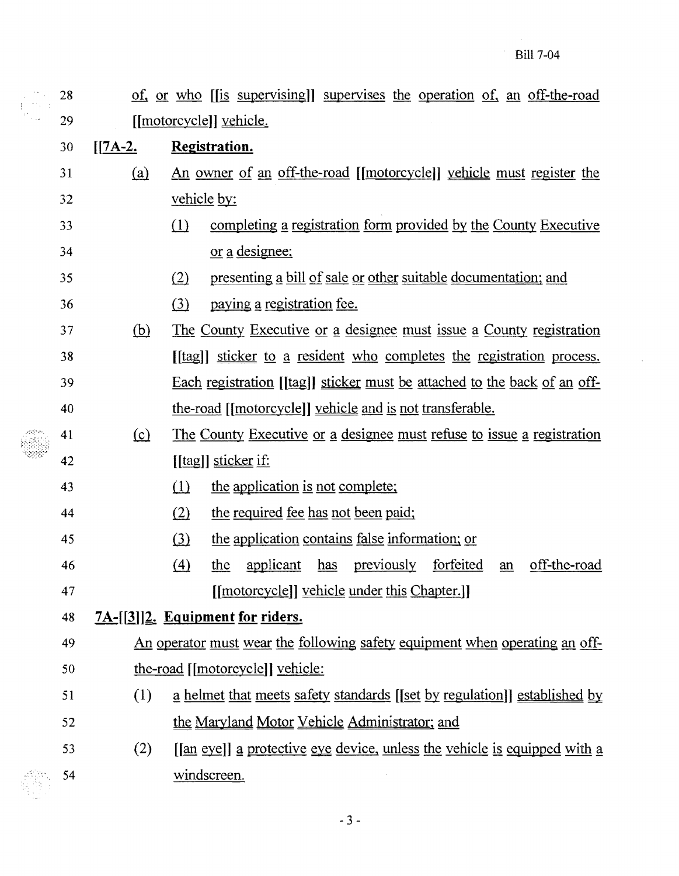$\sim$   $\sim$ 

 $\hat{\boldsymbol{\beta}}$ 

|    | 28 |            | of, or who [[is supervising]] supervises the operation of, an off-the-road                  |  |
|----|----|------------|---------------------------------------------------------------------------------------------|--|
| 29 |    |            | [[motorcycle]] vehicle.                                                                     |  |
|    | 30 | $[7A-2]$   | <b>Registration.</b>                                                                        |  |
|    | 31 | <u>(a)</u> | <u>An owner of an off-the-road [[motorcycle]] vehicle must register the</u>                 |  |
|    | 32 |            | vehicle by:                                                                                 |  |
|    | 33 |            | (1)<br>completing a registration form provided by the County Executive                      |  |
|    | 34 |            | <u>or a designee;</u>                                                                       |  |
|    | 35 |            | presenting a bill of sale or other suitable documentation; and<br>(2)                       |  |
|    | 36 |            | (3)<br>paying a registration fee.                                                           |  |
|    | 37 | (b)        | The County Executive or a designee must issue a County registration                         |  |
|    | 38 |            | [[tag]] sticker to a resident who completes the registration process.                       |  |
|    | 39 |            | Each registration [[tag]] sticker must be attached to the back of an off-                   |  |
|    | 40 |            | the-road [[motorcycle]] vehicle and is not transferable.                                    |  |
|    | 41 | $\Omega$   | The County Executive or a designee must refuse to issue a registration                      |  |
|    | 42 |            | [[tag]] sticker if:                                                                         |  |
|    | 43 |            | (1)<br>the application is not complete;                                                     |  |
|    | 44 |            | the required fee has not been paid;<br>(2)                                                  |  |
|    | 45 |            | the application contains false information; or<br>(3)                                       |  |
|    | 46 |            | previously<br>forfeited<br>off-the-road<br>$\Delta$<br>applicant<br>has<br><u>the</u><br>an |  |
|    | 47 |            | [[motorcycle]] vehicle under this Chapter.]]                                                |  |
| 48 |    |            | 7A-[[3]]2. Equipment for riders.                                                            |  |
|    | 49 |            | An operator must wear the following safety equipment when operating an off-                 |  |
|    | 50 |            | the-road [[motorcycle]] vehicle:                                                            |  |
|    | 51 | (1)        | a helmet that meets safety standards [[set by regulation]] established by                   |  |
|    | 52 |            | the Maryland Motor Vehicle Administrator; and                                               |  |
|    | 53 | (2)        | [[an eye]] a protective eye device, unless the vehicle is equipped with a                   |  |
|    | 54 |            | windscreen.                                                                                 |  |

釋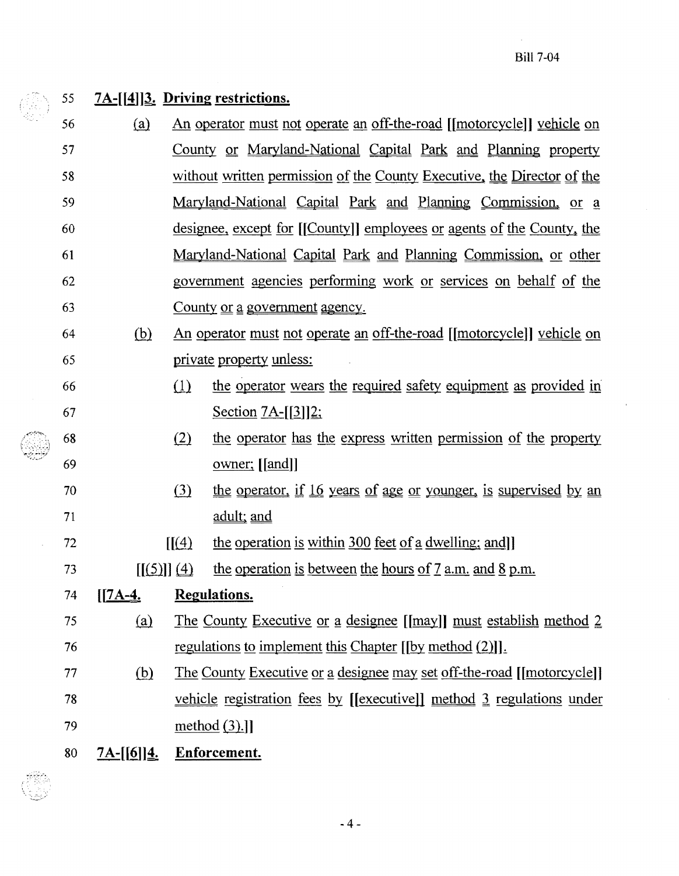## 55  $7A-[1]3$ . Driving restrictions.

- 58 56 W An operator must not operate an off-the-road [[motorcycle]] vehicle on 57 County or Maryland-National Capital Park and Planning property without written permission of the County Executive, the Director of the 59 Maryland-National Capital Park and Planning Commission, or a 60 designee, except for [[County]] employees or agents of the County, the 61 Maryland-National Capital Park and Planning Commission, or other 62 government agencies performing work or services on behalf of the 63 County <u>or a government agency</u>.
- 64 (hl An operator must not operate an off-the-road [[motorcycle]] vehicle on 65 private property unless:
- 66 (1) the operator wears the required safety equipment as provided in 67 Section 7A- $[3]$ ]2;
- 68 (2) the operator has the express written permission of the property 69 owner; [[and]]
- 70 (3) the operator, if 16 years of age or younger, is supervised by an 71 adult: and
- 72  $\left[ \frac{1}{4} \right]$  the operation is within 300 feet of a dwelling; and
- 73 [[(5)] (4) the operation is between the hours of  $7$  a.m. and  $8$  p.m.

## $74$   $[I7A-4]$ . Regulations.

- 75 (a) The County Executive or a designee [[may]] must establish method 2  $76$  regulations to implement this Chapter  $[$ [by method  $(2)$ ]].
- 77 (b) The County Executive or a designee may set off-the-road [[motorcycle]] 78 vehicle registration fees by [[executive]] method 3 regulations under method  $(3).$ ]] 79
- 80 7A-[[6]]<sup>4</sup>. Enforcement.

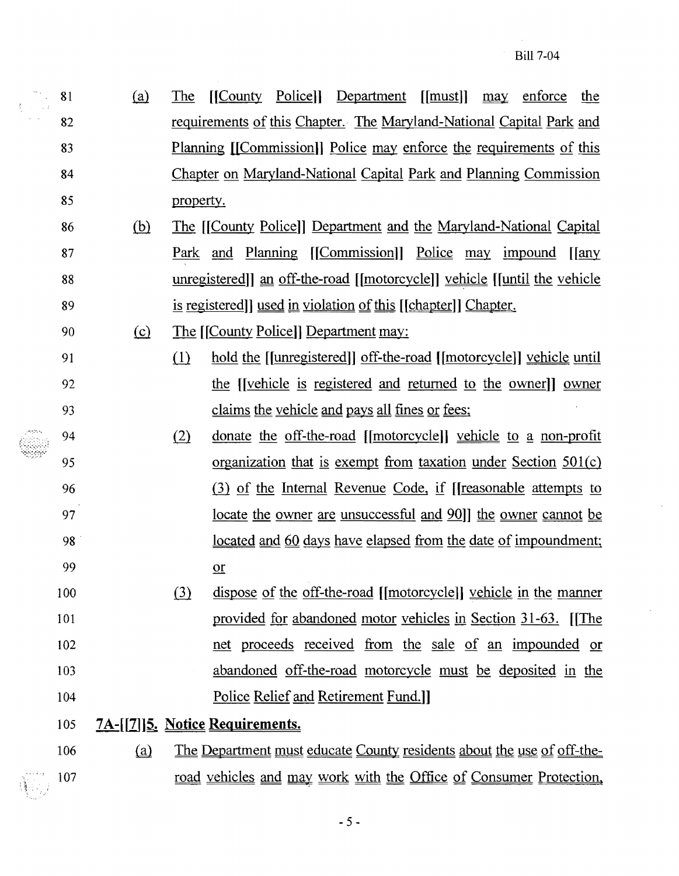81 (a) The [[County Police]] Department [[must]] may enforce the 82 requirements of this Chapter. The Maryland-National Capital Park and 83 Planning [[Commission]] Police may enforce the requirements of this 84 Chapter on Maryland-National Capital Park and Planning Commission 85 property.

- 86 (b) The [[County Police]] Department and the Maryland-National Capital 87 Park and Planning [[Commission]] Police may impound [[any 88 unregistered]] an off-the-road [[motorcycle]] vehicle [[until the vehicle 89 is registered]] used in violation of this [[chapter]] Chapter.
- 90 (£} The [[County Police]] Department may:
- 91 (1) hold the [[unregistered]] off-the-road [[motorcycle]] vehicle until 92 the [[vehicle is registered and returned to the owner]] <u>owner</u> 93 claims the vehicle and pays all fines or fees;
- 94 (2) donate the off-the-road [[motorcycle]] vehicle to a non-profit 95 organization that is exempt from taxation under Section 501(c) 96 (3) of the Internal Revenue Code, if [[reasonable attempts to 97 locate the owner are unsuccessful and 90]] the owner cannot be 98 located and 60 days have elapsed from the date of impoundment; 99 <u>or</u>
- 100 (3) dispose of the off-the-road [[motorcycle]] vehicle in the manner 101 provided for abandoned motor vehicles in Section 31-63. [[The 102 net proceeds received from the sale of an impounded or 103 abandoned off-the-road motorcycle must be deposited in the 104 Police Relief and Retirement Fund.]]
- 105 7A-[[7]]**5. Notice Requirements.**
- 106 (a) The Department must educate County residents about the use of off-the-107 road vehicles and may work with the Office of Consumer Protection.

 $-5-$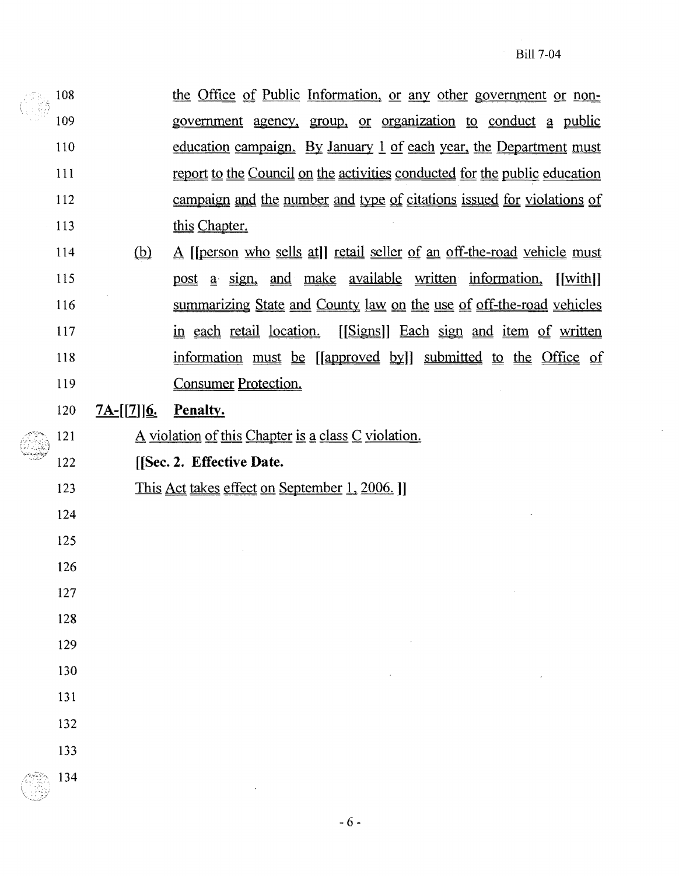| 108 |                   | the Office of Public Information, or any other government or non-                                             |
|-----|-------------------|---------------------------------------------------------------------------------------------------------------|
| 109 |                   | government agency, group, or organization to conduct a public                                                 |
| 110 |                   | education campaign. By January 1 of each year, the Department must                                            |
| 111 |                   | report to the Council on the activities conducted for the public education                                    |
| 112 |                   | campaign and the number and type of citations issued for violations of                                        |
| 113 |                   | this Chapter.                                                                                                 |
| 114 | $\omega$          | A [[person who sells at]] retail seller of an off-the-road vehicle must                                       |
| 115 |                   | sign, and make available written information,<br>$\lceil \text{with} \rceil$<br><u>post</u><br>a <sup>1</sup> |
| 116 |                   | summarizing State and County law on the use of off-the-road vehicles                                          |
| 117 |                   | [Signs]] Each sign and item of written<br>in each retail location.                                            |
| 118 |                   | information must be [[approved by]] submitted to the Office of                                                |
| 119 |                   | <b>Consumer Protection.</b>                                                                                   |
| 120 | <u>7A-[[7]]6.</u> | Penalty.                                                                                                      |

- 121  $\Delta$  violation of this Chapter is a class C violation.
- 122 [[Sec. 2. Effective Date.
- 123 This Act takes effect on September 1, 2006. ]
- 124
- 125 126
- 127
- 128
- 129
- 130
- 131
- 
- 132
- 133
- 134

 $-6-$